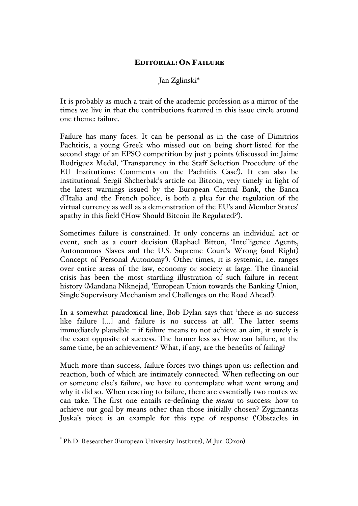## EDITORIAL: ON FAILURE

## Jan Zglinski\*

It is probably as much a trait of the academic profession as a mirror of the times we live in that the contributions featured in this issue circle around one theme: failure.

Failure has many faces. It can be personal as in the case of Dimitrios Pachtitis, a young Greek who missed out on being short-listed for the second stage of an EPSO competition by just 3 points (discussed in: Jaime Rodriguez Medal, 'Transparency in the Staff Selection Procedure of the EU Institutions: Comments on the Pachtitis Case'). It can also be institutional. Sergii Shcherbak's article on Bitcoin, very timely in light of the latest warnings issued by the European Central Bank, the Banca d'Italia and the French police, is both a plea for the regulation of the virtual currency as well as a demonstration of the EU's and Member States' apathy in this field ('How Should Bitcoin Be Regulated?').

Sometimes failure is constrained. It only concerns an individual act or event, such as a court decision (Raphael Bitton, 'Intelligence Agents, Autonomous Slaves and the U.S. Supreme Court's Wrong (and Right) Concept of Personal Autonomy'). Other times, it is systemic, i.e. ranges over entire areas of the law, economy or society at large. The financial crisis has been the most startling illustration of such failure in recent history (Mandana Niknejad, 'European Union towards the Banking Union, Single Supervisory Mechanism and Challenges on the Road Ahead').

In a somewhat paradoxical line, Bob Dylan says that 'there is no success like failure […] and failure is no success at all'. The latter seems immediately plausible – if failure means to not achieve an aim, it surely is the exact opposite of success. The former less so. How can failure, at the same time, be an achievement? What, if any, are the benefits of failing?

Much more than success, failure forces two things upon us: reflection and reaction, both of which are intimately connected. When reflecting on our or someone else's failure, we have to contemplate what went wrong and why it did so. When reacting to failure, there are essentially two routes we can take. The first one entails re-defining the *means* to success: how to achieve our goal by means other than those initially chosen? Zygimantas Juska's piece is an example for this type of response ('Obstacles in

 <sup>\*</sup> Ph.D. Researcher (European University Institute), M.Jur. (Oxon).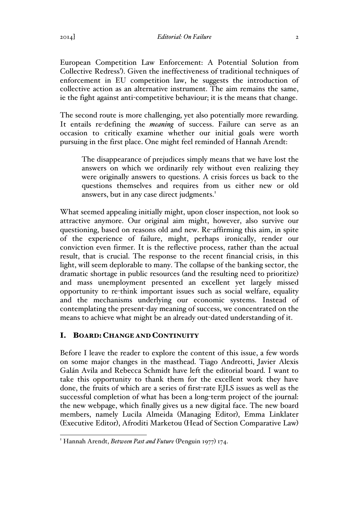European Competition Law Enforcement: A Potential Solution from Collective Redress'). Given the ineffectiveness of traditional techniques of enforcement in EU competition law, he suggests the introduction of collective action as an alternative instrument. The aim remains the same, ie the fight against anti-competitive behaviour; it is the means that change.

The second route is more challenging, yet also potentially more rewarding. It entails re-defining the *meaning* of success. Failure can serve as an occasion to critically examine whether our initial goals were worth pursuing in the first place. One might feel reminded of Hannah Arendt:

The disappearance of prejudices simply means that we have lost the answers on which we ordinarily rely without even realizing they were originally answers to questions. A crisis forces us back to the questions themselves and requires from us either new or old answers, but in any case direct judgments.<sup>1</sup>

What seemed appealing initially might, upon closer inspection, not look so attractive anymore. Our original aim might, however, also survive our questioning, based on reasons old and new. Re-affirming this aim, in spite of the experience of failure, might, perhaps ironically, render our conviction even firmer. It is the reflective process, rather than the actual result, that is crucial. The response to the recent financial crisis, in this light, will seem deplorable to many. The collapse of the banking sector, the dramatic shortage in public resources (and the resulting need to prioritize) and mass unemployment presented an excellent yet largely missed opportunity to re-think important issues such as social welfare, equality and the mechanisms underlying our economic systems. Instead of contemplating the present-day meaning of success, we concentrated on the means to achieve what might be an already out-dated understanding of it.

## I. BOARD: CHANGE AND CONTINUITY

Before I leave the reader to explore the content of this issue, a few words on some major changes in the masthead. Tiago Andreotti, Javier Alexis Galán Avila and Rebecca Schmidt have left the editorial board. I want to take this opportunity to thank them for the excellent work they have done, the fruits of which are a series of first-rate EJLS issues as well as the successful completion of what has been a long-term project of the journal: the new webpage, which finally gives us a new digital face. The new board members, namely Lucila Almeida (Managing Editor), Emma Linklater (Executive Editor), Afroditi Marketou (Head of Section Comparative Law)

<sup>&</sup>lt;sup>1</sup> Hannah Arendt, *Between Past and Future* (Penguin 1977) 174.